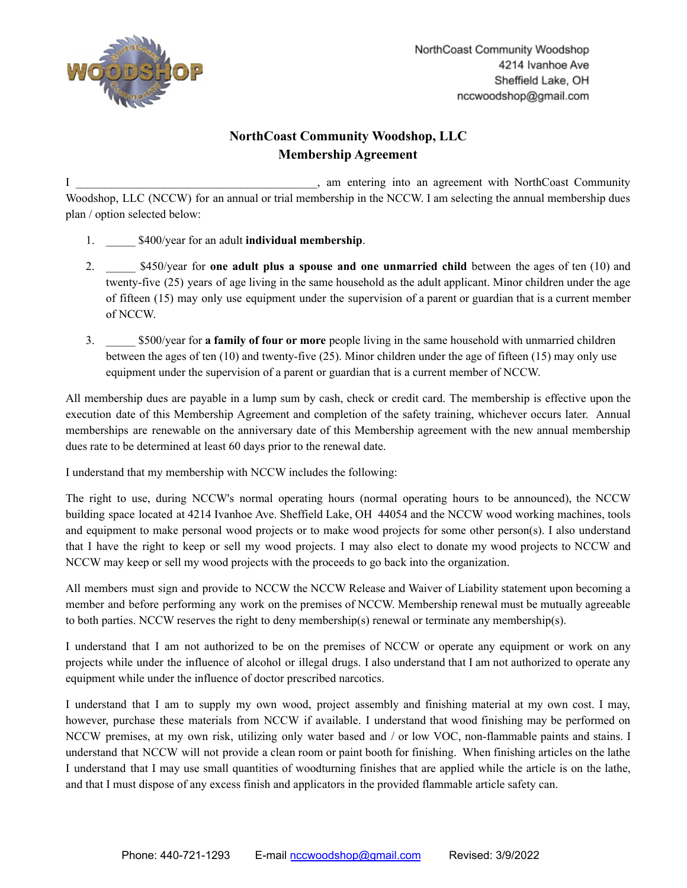

## **NorthCoast Community Woodshop, LLC Membership Agreement**

I contract the same entering into an agreement with NorthCoast Community Woodshop, LLC (NCCW) for an annual or trial membership in the NCCW. I am selecting the annual membership dues plan / option selected below:

- 1. \_\_\_\_\_ \$400/year for an adult **individual membership**.
- 2. \_\_\_\_\_ \$450/year for **one adult plus a spouse and one unmarried child** between the ages of ten (10) and twenty-five (25) years of age living in the same household as the adult applicant. Minor children under the age of fifteen (15) may only use equipment under the supervision of a parent or guardian that is a current member of NCCW.
- 3. \_\_\_\_\_ \$500/year for **a family of four or more** people living in the same household with unmarried children between the ages of ten (10) and twenty-five (25). Minor children under the age of fifteen (15) may only use equipment under the supervision of a parent or guardian that is a current member of NCCW.

All membership dues are payable in a lump sum by cash, check or credit card. The membership is effective upon the execution date of this Membership Agreement and completion of the safety training, whichever occurs later. Annual memberships are renewable on the anniversary date of this Membership agreement with the new annual membership dues rate to be determined at least 60 days prior to the renewal date.

I understand that my membership with NCCW includes the following:

The right to use, during NCCW's normal operating hours (normal operating hours to be announced), the NCCW building space located at 4214 Ivanhoe Ave. Sheffield Lake, OH 44054 and the NCCW wood working machines, tools and equipment to make personal wood projects or to make wood projects for some other person(s). I also understand that I have the right to keep or sell my wood projects. I may also elect to donate my wood projects to NCCW and NCCW may keep or sell my wood projects with the proceeds to go back into the organization.

All members must sign and provide to NCCW the NCCW Release and Waiver of Liability statement upon becoming a member and before performing any work on the premises of NCCW. Membership renewal must be mutually agreeable to both parties. NCCW reserves the right to deny membership(s) renewal or terminate any membership(s).

I understand that I am not authorized to be on the premises of NCCW or operate any equipment or work on any projects while under the influence of alcohol or illegal drugs. I also understand that I am not authorized to operate any equipment while under the influence of doctor prescribed narcotics.

I understand that I am to supply my own wood, project assembly and finishing material at my own cost. I may, however, purchase these materials from NCCW if available. I understand that wood finishing may be performed on NCCW premises, at my own risk, utilizing only water based and / or low VOC, non-flammable paints and stains. I understand that NCCW will not provide a clean room or paint booth for finishing. When finishing articles on the lathe I understand that I may use small quantities of woodturning finishes that are applied while the article is on the lathe, and that I must dispose of any excess finish and applicators in the provided flammable article safety can.